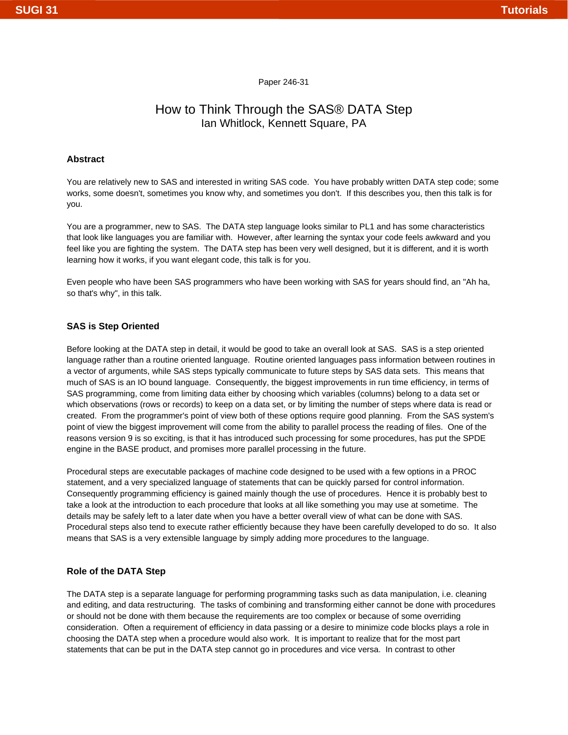# Paper 246-31

# How to Think Through the SAS® DATA Step Ian Whitlock, Kennett Square, PA

#### **Abstract**

You are relatively new to SAS and interested in writing SAS code. You have probably written DATA step code; some works, some doesn't, sometimes you know why, and sometimes you don't. If this describes you, then this talk is for you.

You are a programmer, new to SAS. The DATA step language looks similar to PL1 and has some characteristics that look like languages you are familiar with. However, after learning the syntax your code feels awkward and you feel like you are fighting the system. The DATA step has been very well designed, but it is different, and it is worth learning how it works, if you want elegant code, this talk is for you.

Even people who have been SAS programmers who have been working with SAS for years should find, an "Ah ha, so that's why", in this talk.

#### **SAS is Step Oriented**

Before looking at the DATA step in detail, it would be good to take an overall look at SAS. SAS is a step oriented language rather than a routine oriented language. Routine oriented languages pass information between routines in a vector of arguments, while SAS steps typically communicate to future steps by SAS data sets. This means that much of SAS is an IO bound language. Consequently, the biggest improvements in run time efficiency, in terms of SAS programming, come from limiting data either by choosing which variables (columns) belong to a data set or which observations (rows or records) to keep on a data set, or by limiting the number of steps where data is read or created. From the programmer's point of view both of these options require good planning. From the SAS system's point of view the biggest improvement will come from the ability to parallel process the reading of files. One of the reasons version 9 is so exciting, is that it has introduced such processing for some procedures, has put the SPDE engine in the BASE product, and promises more parallel processing in the future.

Procedural steps are executable packages of machine code designed to be used with a few options in a PROC statement, and a very specialized language of statements that can be quickly parsed for control information. Consequently programming efficiency is gained mainly though the use of procedures. Hence it is probably best to take a look at the introduction to each procedure that looks at all like something you may use at sometime. The details may be safely left to a later date when you have a better overall view of what can be done with SAS. Procedural steps also tend to execute rather efficiently because they have been carefully developed to do so. It also means that SAS is a very extensible language by simply adding more procedures to the language.

#### **Role of the DATA Step**

The DATA step is a separate language for performing programming tasks such as data manipulation, i.e. cleaning and editing, and data restructuring. The tasks of combining and transforming either cannot be done with procedures or should not be done with them because the requirements are too complex or because of some overriding consideration. Often a requirement of efficiency in data passing or a desire to minimize code blocks plays a role in choosing the DATA step when a procedure would also work. It is important to realize that for the most part statements that can be put in the DATA step cannot go in procedures and vice versa. In contrast to other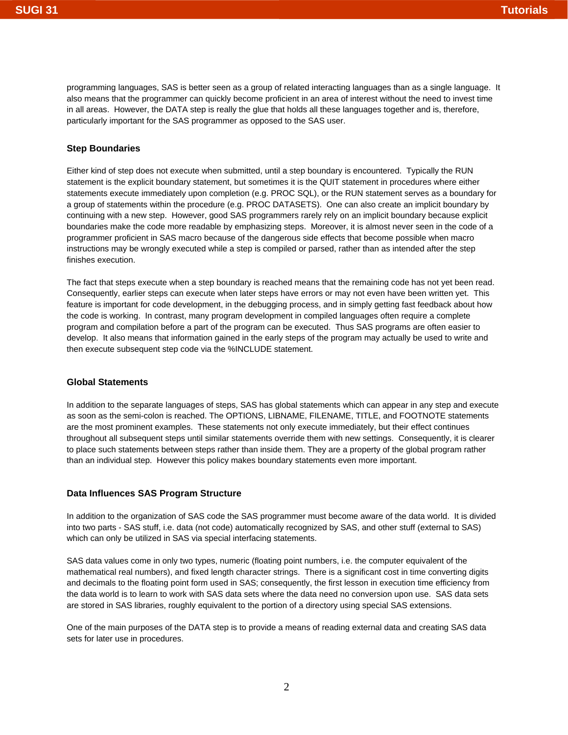programming languages, SAS is better seen as a group of related interacting languages than as a single language. It also means that the programmer can quickly become proficient in an area of interest without the need to invest time in all areas. However, the DATA step is really the glue that holds all these languages together and is, therefore, particularly important for the SAS programmer as opposed to the SAS user.

# **Step Boundaries**

Either kind of step does not execute when submitted, until a step boundary is encountered. Typically the RUN statement is the explicit boundary statement, but sometimes it is the QUIT statement in procedures where either statements execute immediately upon completion (e.g. PROC SQL), or the RUN statement serves as a boundary for a group of statements within the procedure (e.g. PROC DATASETS). One can also create an implicit boundary by continuing with a new step. However, good SAS programmers rarely rely on an implicit boundary because explicit boundaries make the code more readable by emphasizing steps. Moreover, it is almost never seen in the code of a programmer proficient in SAS macro because of the dangerous side effects that become possible when macro instructions may be wrongly executed while a step is compiled or parsed, rather than as intended after the step finishes execution.

The fact that steps execute when a step boundary is reached means that the remaining code has not yet been read. Consequently, earlier steps can execute when later steps have errors or may not even have been written yet. This feature is important for code development, in the debugging process, and in simply getting fast feedback about how the code is working. In contrast, many program development in compiled languages often require a complete program and compilation before a part of the program can be executed. Thus SAS programs are often easier to develop. It also means that information gained in the early steps of the program may actually be used to write and then execute subsequent step code via the %INCLUDE statement.

#### **Global Statements**

In addition to the separate languages of steps, SAS has global statements which can appear in any step and execute as soon as the semi-colon is reached. The OPTIONS, LIBNAME, FILENAME, TITLE, and FOOTNOTE statements are the most prominent examples. These statements not only execute immediately, but their effect continues throughout all subsequent steps until similar statements override them with new settings. Consequently, it is clearer to place such statements between steps rather than inside them. They are a property of the global program rather than an individual step. However this policy makes boundary statements even more important.

#### **Data Influences SAS Program Structure**

In addition to the organization of SAS code the SAS programmer must become aware of the data world. It is divided into two parts - SAS stuff, i.e. data (not code) automatically recognized by SAS, and other stuff (external to SAS) which can only be utilized in SAS via special interfacing statements.

SAS data values come in only two types, numeric (floating point numbers, i.e. the computer equivalent of the mathematical real numbers), and fixed length character strings. There is a significant cost in time converting digits and decimals to the floating point form used in SAS; consequently, the first lesson in execution time efficiency from the data world is to learn to work with SAS data sets where the data need no conversion upon use. SAS data sets are stored in SAS libraries, roughly equivalent to the portion of a directory using special SAS extensions.

One of the main purposes of the DATA step is to provide a means of reading external data and creating SAS data sets for later use in procedures.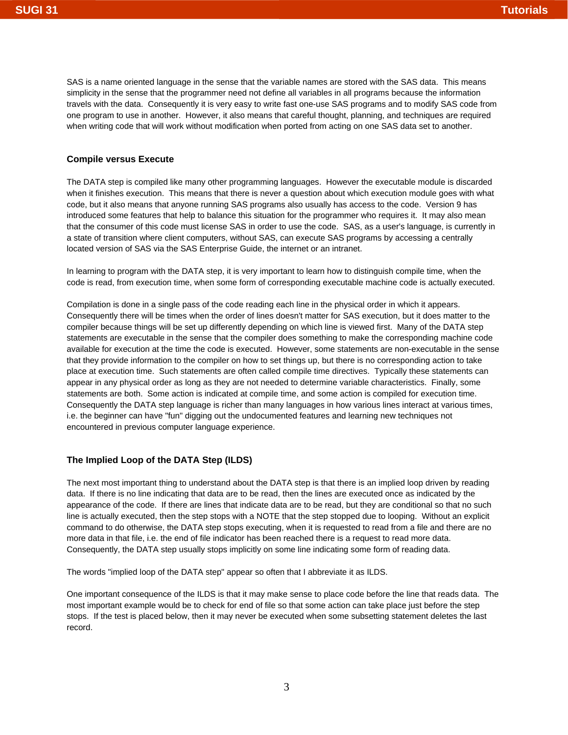SAS is a name oriented language in the sense that the variable names are stored with the SAS data. This means simplicity in the sense that the programmer need not define all variables in all programs because the information travels with the data. Consequently it is very easy to write fast one-use SAS programs and to modify SAS code from one program to use in another. However, it also means that careful thought, planning, and techniques are required when writing code that will work without modification when ported from acting on one SAS data set to another.

#### **Compile versus Execute**

The DATA step is compiled like many other programming languages. However the executable module is discarded when it finishes execution. This means that there is never a question about which execution module goes with what code, but it also means that anyone running SAS programs also usually has access to the code. Version 9 has introduced some features that help to balance this situation for the programmer who requires it. It may also mean that the consumer of this code must license SAS in order to use the code. SAS, as a user's language, is currently in a state of transition where client computers, without SAS, can execute SAS programs by accessing a centrally located version of SAS via the SAS Enterprise Guide, the internet or an intranet.

In learning to program with the DATA step, it is very important to learn how to distinguish compile time, when the code is read, from execution time, when some form of corresponding executable machine code is actually executed.

Compilation is done in a single pass of the code reading each line in the physical order in which it appears. Consequently there will be times when the order of lines doesn't matter for SAS execution, but it does matter to the compiler because things will be set up differently depending on which line is viewed first. Many of the DATA step statements are executable in the sense that the compiler does something to make the corresponding machine code available for execution at the time the code is executed. However, some statements are non-executable in the sense that they provide information to the compiler on how to set things up, but there is no corresponding action to take place at execution time. Such statements are often called compile time directives. Typically these statements can appear in any physical order as long as they are not needed to determine variable characteristics. Finally, some statements are both. Some action is indicated at compile time, and some action is compiled for execution time. Consequently the DATA step language is richer than many languages in how various lines interact at various times, i.e. the beginner can have "fun" digging out the undocumented features and learning new techniques not encountered in previous computer language experience.

# **The Implied Loop of the DATA Step (ILDS)**

The next most important thing to understand about the DATA step is that there is an implied loop driven by reading data. If there is no line indicating that data are to be read, then the lines are executed once as indicated by the appearance of the code. If there are lines that indicate data are to be read, but they are conditional so that no such line is actually executed, then the step stops with a NOTE that the step stopped due to looping. Without an explicit command to do otherwise, the DATA step stops executing, when it is requested to read from a file and there are no more data in that file, i.e. the end of file indicator has been reached there is a request to read more data. Consequently, the DATA step usually stops implicitly on some line indicating some form of reading data.

The words "implied loop of the DATA step" appear so often that I abbreviate it as ILDS.

One important consequence of the ILDS is that it may make sense to place code before the line that reads data. The most important example would be to check for end of file so that some action can take place just before the step stops. If the test is placed below, then it may never be executed when some subsetting statement deletes the last record.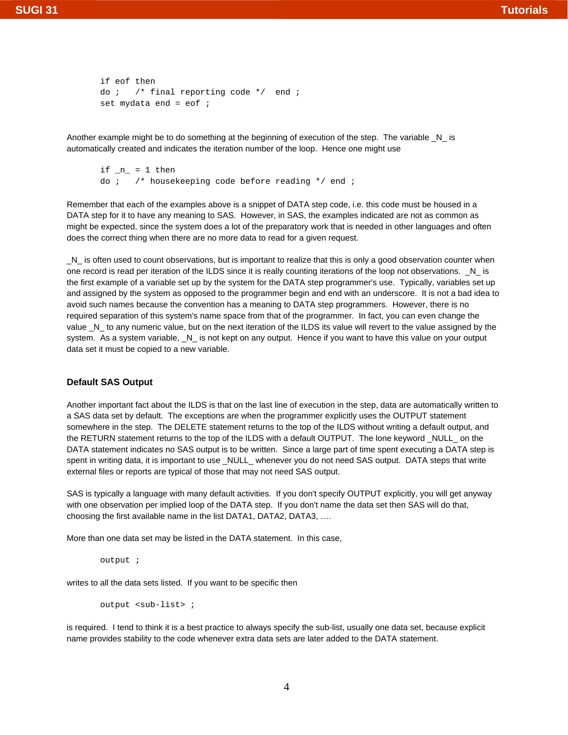```
if eof then
do i /* final reporting code */ end iset mydata end = eof i
```
Another example might be to do something at the beginning of execution of the step. The variable \_N\_ is automatically created and indicates the iteration number of the loop. Hence one might use

if  $n = 1$  then do  $i$  /\* housekeeping code before reading  $*/$  end  $i$ 

Remember that each of the examples above is a snippet of DATA step code, i.e. this code must be housed in a DATA step for it to have any meaning to SAS. However, in SAS, the examples indicated are not as common as might be expected, since the system does a lot of the preparatory work that is needed in other languages and often does the correct thing when there are no more data to read for a given request.

\_N\_ is often used to count observations, but is important to realize that this is only a good observation counter when one record is read per iteration of the ILDS since it is really counting iterations of the loop not observations.  $N_{-}$  is the first example of a variable set up by the system for the DATA step programmer's use. Typically, variables set up and assigned by the system as opposed to the programmer begin and end with an underscore. It is not a bad idea to avoid such names because the convention has a meaning to DATA step programmers. However, there is no required separation of this system's name space from that of the programmer. In fact, you can even change the value \_N\_ to any numeric value, but on the next iteration of the ILDS its value will revert to the value assigned by the system. As a system variable,  $N_{\perp}$  is not kept on any output. Hence if you want to have this value on your output data set it must be copied to a new variable.

#### **Default SAS Output**

Another important fact about the ILDS is that on the last line of execution in the step, data are automatically written to a SAS data set by default. The exceptions are when the programmer explicitly uses the OUTPUT statement somewhere in the step. The DELETE statement returns to the top of the ILDS without writing a default output, and the RETURN statement returns to the top of the ILDS with a default OUTPUT. The lone keyword \_NULL\_ on the DATA statement indicates no SAS output is to be written. Since a large part of time spent executing a DATA step is spent in writing data, it is important to use \_NULL\_ whenever you do not need SAS output. DATA steps that write external files or reports are typical of those that may not need SAS output.

SAS is typically a language with many default activities. If you don't specify OUTPUT explicitly, you will get anyway with one observation per implied loop of the DATA step. If you don't name the data set then SAS will do that, choosing the first available name in the list DATA1, DATA2, DATA3, ….

More than one data set may be listed in the DATA statement. In this case,

output ;

writes to all the data sets listed. If you want to be specific then

```
output <sub-list> ;
```
is required. I tend to think it is a best practice to always specify the sub-list, usually one data set, because explicit name provides stability to the code whenever extra data sets are later added to the DATA statement.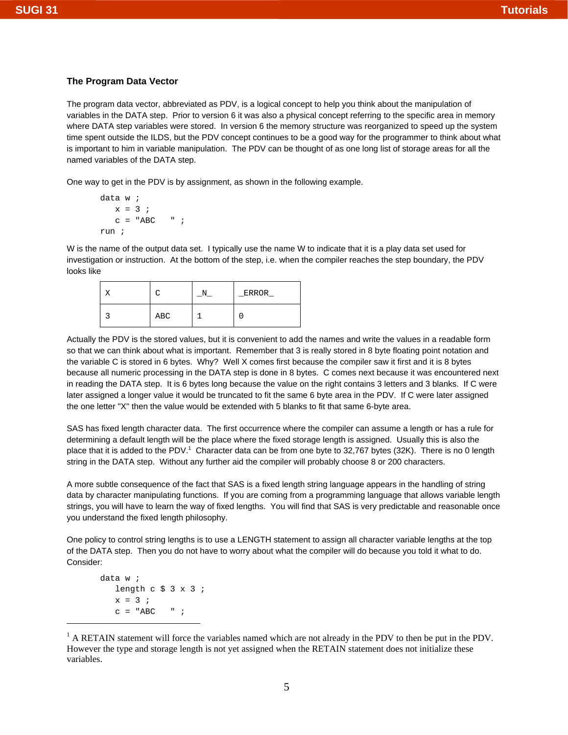# **The Program Data Vector**

The program data vector, abbreviated as PDV, is a logical concept to help you think about the manipulation of variables in the DATA step. Prior to version 6 it was also a physical concept referring to the specific area in memory where DATA step variables were stored. In version 6 the memory structure was reorganized to speed up the system time spent outside the ILDS, but the PDV concept continues to be a good way for the programmer to think about what is important to him in variable manipulation. The PDV can be thought of as one long list of storage areas for all the named variables of the DATA step.

One way to get in the PDV is by assignment, as shown in the following example.

```
data w ;
  x = 3 ;
   c = "ABC" " ;
run ;
```
W is the name of the output data set. I typically use the name W to indicate that it is a play data set used for investigation or instruction. At the bottom of the step, i.e. when the compiler reaches the step boundary, the PDV looks like

|     | ERROR |
|-----|-------|
| ABC |       |

Actually the PDV is the stored values, but it is convenient to add the names and write the values in a readable form so that we can think about what is important. Remember that 3 is really stored in 8 byte floating point notation and the variable C is stored in 6 bytes. Why? Well X comes first because the compiler saw it first and it is 8 bytes because all numeric processing in the DATA step is done in 8 bytes. C comes next because it was encountered next in reading the DATA step. It is 6 bytes long because the value on the right contains 3 letters and 3 blanks. If C were later assigned a longer value it would be truncated to fit the same 6 byte area in the PDV. If C were later assigned the one letter "X" then the value would be extended with 5 blanks to fit that same 6-byte area.

SAS has fixed length character data. The first occurrence where the compiler can assume a length or has a rule for determining a default length will be the place where the fixed storage length is assigned. Usually this is also the place that it is added to the PDV.<sup>1</sup> Character data can be from one byte to 32,767 bytes (32K). There is no 0 length string in the DATA step. Without any further aid the compiler will probably choose 8 or 200 characters.

A more subtle consequence of the fact that SAS is a fixed length string language appears in the handling of string data by character manipulating functions. If you are coming from a programming language that allows variable length strings, you will have to learn the way of fixed lengths. You will find that SAS is very predictable and reasonable once you understand the fixed length philosophy.

One policy to control string lengths is to use a LENGTH statement to assign all character variable lengths at the top of the DATA step. Then you do not have to worry about what the compiler will do because you told it what to do. Consider:

```
data w ;
     length c \frac{2}{3} \frac{1}{2} \frac{1}{2} \frac{1}{2}x = 3 ;
     c = "ABC" " ;
```
<sup>&</sup>lt;sup>1</sup> A RETAIN statement will force the variables named which are not already in the PDV to then be put in the PDV. However the type and storage length is not yet assigned when the RETAIN statement does not initialize these variables.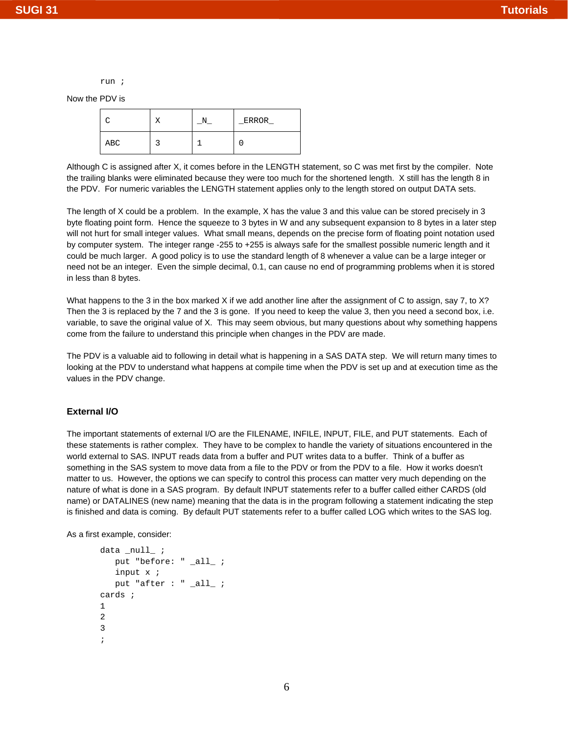run ;

Now the PDV is

|     |  | <b>ERROR</b> |
|-----|--|--------------|
| ABC |  |              |

Although C is assigned after X, it comes before in the LENGTH statement, so C was met first by the compiler. Note the trailing blanks were eliminated because they were too much for the shortened length. X still has the length 8 in the PDV. For numeric variables the LENGTH statement applies only to the length stored on output DATA sets.

The length of X could be a problem. In the example, X has the value 3 and this value can be stored precisely in 3 byte floating point form. Hence the squeeze to 3 bytes in W and any subsequent expansion to 8 bytes in a later step will not hurt for small integer values. What small means, depends on the precise form of floating point notation used by computer system. The integer range -255 to +255 is always safe for the smallest possible numeric length and it could be much larger. A good policy is to use the standard length of 8 whenever a value can be a large integer or need not be an integer. Even the simple decimal, 0.1, can cause no end of programming problems when it is stored in less than 8 bytes.

What happens to the 3 in the box marked X if we add another line after the assignment of C to assign, say 7, to X? Then the 3 is replaced by the 7 and the 3 is gone. If you need to keep the value 3, then you need a second box, i.e. variable, to save the original value of X. This may seem obvious, but many questions about why something happens come from the failure to understand this principle when changes in the PDV are made.

The PDV is a valuable aid to following in detail what is happening in a SAS DATA step. We will return many times to looking at the PDV to understand what happens at compile time when the PDV is set up and at execution time as the values in the PDV change.

#### **External I/O**

The important statements of external I/O are the FILENAME, INFILE, INPUT, FILE, and PUT statements. Each of these statements is rather complex. They have to be complex to handle the variety of situations encountered in the world external to SAS. INPUT reads data from a buffer and PUT writes data to a buffer. Think of a buffer as something in the SAS system to move data from a file to the PDV or from the PDV to a file. How it works doesn't matter to us. However, the options we can specify to control this process can matter very much depending on the nature of what is done in a SAS program. By default INPUT statements refer to a buffer called either CARDS (old name) or DATALINES (new name) meaning that the data is in the program following a statement indicating the step is finished and data is coming. By default PUT statements refer to a buffer called LOG which writes to the SAS log.

As a first example, consider:

```
data _null_ ;
    put "before: " _all_ ;
    input x ;
    put "after : " _all_ ;
cards ;
1
2
3
;
```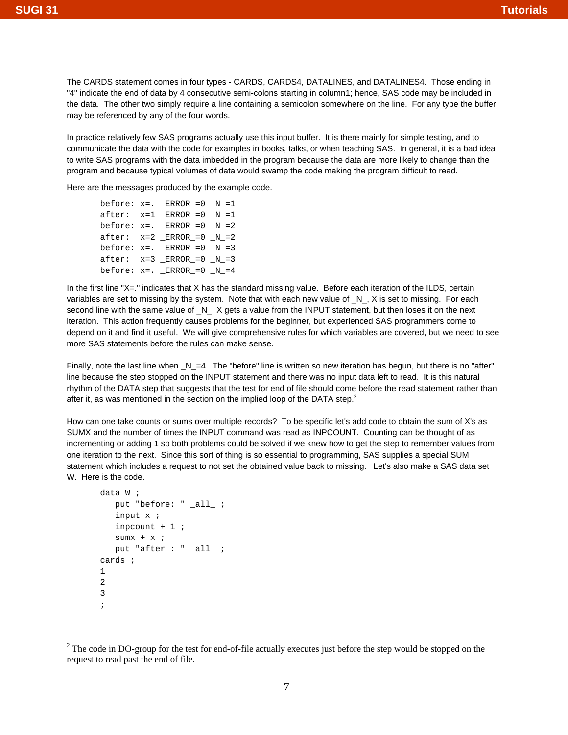The CARDS statement comes in four types - CARDS, CARDS4, DATALINES, and DATALINES4. Those ending in "4" indicate the end of data by 4 consecutive semi-colons starting in column1; hence, SAS code may be included in the data. The other two simply require a line containing a semicolon somewhere on the line. For any type the buffer may be referenced by any of the four words.

In practice relatively few SAS programs actually use this input buffer. It is there mainly for simple testing, and to communicate the data with the code for examples in books, talks, or when teaching SAS. In general, it is a bad idea to write SAS programs with the data imbedded in the program because the data are more likely to change than the program and because typical volumes of data would swamp the code making the program difficult to read.

Here are the messages produced by the example code.

before:  $x=$ . ERROR =0  $N=1$  $after: x=1$   $ERROR_0 = 0$   $N_0 = 1$ before:  $x=$ .  $ERROR_ = 0$   $N_ = 2$ after:  $x=2$  ERROR = 0 N = 2 before:  $x=$ . ERROR = 0  $N=3$  $after: x=3$   $ERROR_0 = 0$   $N_0 = 3$ before:  $x=$ .  $ERROR_ = 0$   $N_ = 4$ 

In the first line "X=." indicates that X has the standard missing value. Before each iteration of the ILDS, certain variables are set to missing by the system. Note that with each new value of \_N\_, X is set to missing. For each second line with the same value of \_N\_, X gets a value from the INPUT statement, but then loses it on the next iteration. This action frequently causes problems for the beginner, but experienced SAS programmers come to depend on it and find it useful. We will give comprehensive rules for which variables are covered, but we need to see more SAS statements before the rules can make sense.

Finally, note the last line when \_N\_=4. The "before" line is written so new iteration has begun, but there is no "after" line because the step stopped on the INPUT statement and there was no input data left to read. It is this natural rhythm of the DATA step that suggests that the test for end of file should come before the read statement rather than after it, as was mentioned in the section on the implied loop of the DATA step.<sup>2</sup>

How can one take counts or sums over multiple records? To be specific let's add code to obtain the sum of X's as SUMX and the number of times the INPUT command was read as INPCOUNT. Counting can be thought of as incrementing or adding 1 so both problems could be solved if we knew how to get the step to remember values from one iteration to the next. Since this sort of thing is so essential to programming, SAS supplies a special SUM statement which includes a request to not set the obtained value back to missing. Let's also make a SAS data set W. Here is the code.

```
data W ;
    put "before: " _all_ ;
    input x ;
    inpcount + 1 ;
   sumx + x ;
    put "after : " _all_ ;
cards ;
1
\mathcal{L}3
;
```
 $2$  The code in DO-group for the test for end-of-file actually executes just before the step would be stopped on the request to read past the end of file.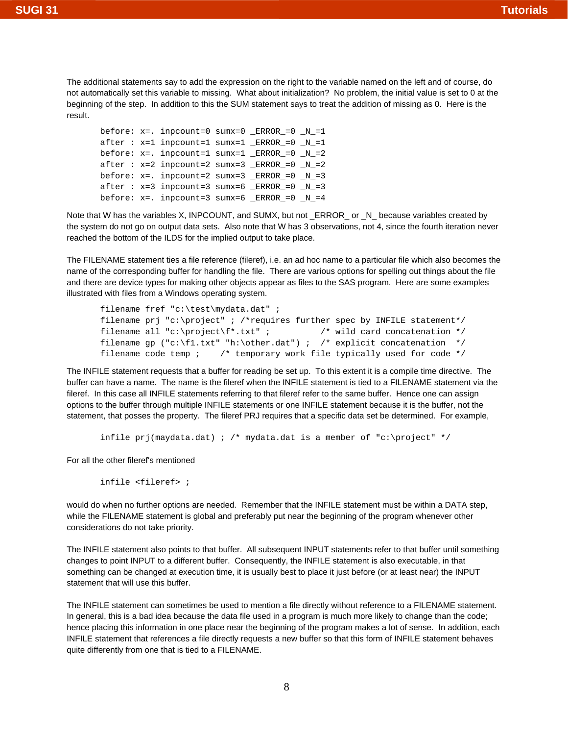The additional statements say to add the expression on the right to the variable named on the left and of course, do not automatically set this variable to missing. What about initialization? No problem, the initial value is set to 0 at the beginning of the step. In addition to this the SUM statement says to treat the addition of missing as 0. Here is the result.

```
before: x=. inpcount=0 sumx=0 _ERROR_=0 _N_=1
after : x=1 inpcount=1 sumx=1 _RROR_0 = 0 N_0 = 1before: x=. inpcount=1 sumx=1 _ERROR_=0 _N_=2
after : x=2 import=2 sumx=3 | ERROR_0 = 0 | N_0 = 2before: x=. inpcount=2 sumx=3 ERROR =0 N=3after: x=3 import=3 sumx=6 | ERROR_0 = 0 | N_0 = 3before: x=. inpcount=3 sumx=6 _ERROR_=0 _N_=4
```
Note that W has the variables X, INPCOUNT, and SUMX, but not ERROR\_ or \_N\_ because variables created by the system do not go on output data sets. Also note that W has 3 observations, not 4, since the fourth iteration never reached the bottom of the ILDS for the implied output to take place.

The FILENAME statement ties a file reference (fileref), i.e. an ad hoc name to a particular file which also becomes the name of the corresponding buffer for handling the file. There are various options for spelling out things about the file and there are device types for making other objects appear as files to the SAS program. Here are some examples illustrated with files from a Windows operating system.

```
filename fref "c:\test\mydata.dat" ;
filename prj "c:\project" ; /*requires further spec by INFILE statement*/
filename all "c:\project\f*.txt" ; \qquad /* wild card concatenation */
filename gp ("c:\f1.txt" "h:\other.dat") ; /* explicit concatenation */
filename code temp ; /* temporary work file typically used for code */
```
The INFILE statement requests that a buffer for reading be set up. To this extent it is a compile time directive. The buffer can have a name. The name is the fileref when the INFILE statement is tied to a FILENAME statement via the fileref. In this case all INFILE statements referring to that fileref refer to the same buffer. Hence one can assign options to the buffer through multiple INFILE statements or one INFILE statement because it is the buffer, not the statement, that posses the property. The fileref PRJ requires that a specific data set be determined. For example,

infile  $prj(maydata.dat)$ ; /\* mydata.dat is a member of "c:\project" \*/

For all the other fileref's mentioned

infile <fileref> ;

would do when no further options are needed. Remember that the INFILE statement must be within a DATA step, while the FILENAME statement is global and preferably put near the beginning of the program whenever other considerations do not take priority.

The INFILE statement also points to that buffer. All subsequent INPUT statements refer to that buffer until something changes to point INPUT to a different buffer. Consequently, the INFILE statement is also executable, in that something can be changed at execution time, it is usually best to place it just before (or at least near) the INPUT statement that will use this buffer.

The INFILE statement can sometimes be used to mention a file directly without reference to a FILENAME statement. In general, this is a bad idea because the data file used in a program is much more likely to change than the code; hence placing this information in one place near the beginning of the program makes a lot of sense. In addition, each INFILE statement that references a file directly requests a new buffer so that this form of INFILE statement behaves quite differently from one that is tied to a FILENAME.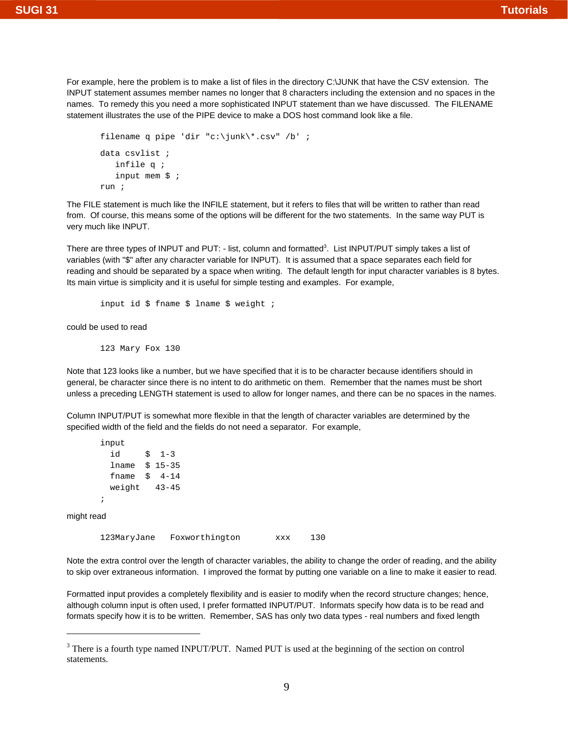For example, here the problem is to make a list of files in the directory C:\JUNK that have the CSV extension. The INPUT statement assumes member names no longer that 8 characters including the extension and no spaces in the names. To remedy this you need a more sophisticated INPUT statement than we have discussed. The FILENAME statement illustrates the use of the PIPE device to make a DOS host command look like a file.

```
filename q pipe 'dir "c:\junk\*.csv" /b' ; 
data csvlist ;
    infile q ; 
    input mem $ ;
run ;
```
The FILE statement is much like the INFILE statement, but it refers to files that will be written to rather than read from. Of course, this means some of the options will be different for the two statements. In the same way PUT is very much like INPUT.

There are three types of INPUT and PUT: - list, column and formatted<sup>3</sup>. List INPUT/PUT simply takes a list of variables (with "\$" after any character variable for INPUT). It is assumed that a space separates each field for reading and should be separated by a space when writing. The default length for input character variables is 8 bytes. Its main virtue is simplicity and it is useful for simple testing and examples. For example,

input id \$ fname \$ lname \$ weight ;

could be used to read

123 Mary Fox 130

Note that 123 looks like a number, but we have specified that it is to be character because identifiers should in general, be character since there is no intent to do arithmetic on them. Remember that the names must be short unless a preceding LENGTH statement is used to allow for longer names, and there can be no spaces in the names.

Column INPUT/PUT is somewhat more flexible in that the length of character variables are determined by the specified width of the field and the fields do not need a separator. For example,

```
input 
  id $ 1-3 
  lname $ 15-35 
  fname $ 4-14 
  weight 43-45
```
might read

;

123MaryJane Foxworthington xxx 130

Note the extra control over the length of character variables, the ability to change the order of reading, and the ability to skip over extraneous information. I improved the format by putting one variable on a line to make it easier to read.

Formatted input provides a completely flexibility and is easier to modify when the record structure changes; hence, although column input is often used, I prefer formatted INPUT/PUT. Informats specify how data is to be read and formats specify how it is to be written. Remember, SAS has only two data types - real numbers and fixed length

<sup>&</sup>lt;sup>3</sup> There is a fourth type named INPUT/PUT. Named PUT is used at the beginning of the section on control statements.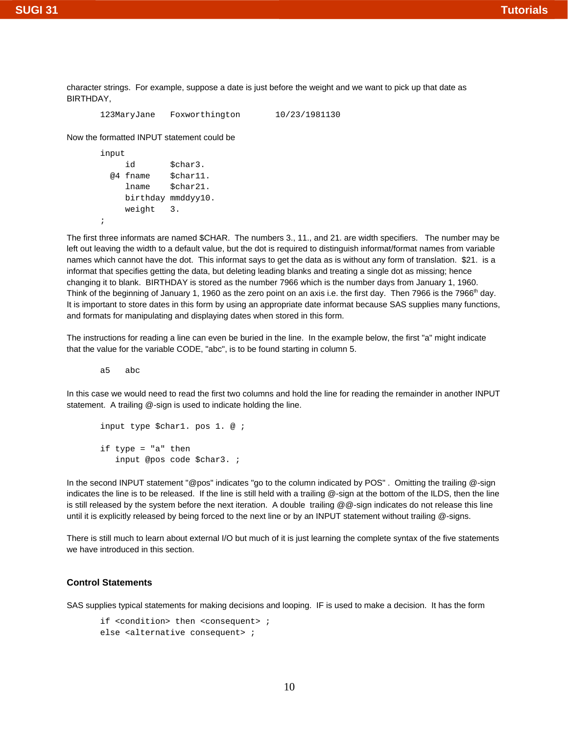character strings. For example, suppose a date is just before the weight and we want to pick up that date as BIRTHDAY,

```
123MaryJane Foxworthington 10/23/1981130
```
Now the formatted INPUT statement could be

```
input
```
;

```
id $char3.
 @4 fname $char11. 
   lname $char21. 
   birthday mmddyy10.
   weight 3.
```
The first three informats are named \$CHAR. The numbers 3., 11., and 21. are width specifiers. The number may be left out leaving the width to a default value, but the dot is required to distinguish informat/format names from variable names which cannot have the dot. This informat says to get the data as is without any form of translation. \$21. is a informat that specifies getting the data, but deleting leading blanks and treating a single dot as missing; hence changing it to blank. BIRTHDAY is stored as the number 7966 which is the number days from January 1, 1960. Think of the beginning of January 1, 1960 as the zero point on an axis i.e. the first day. Then 7966 is the 7966<sup>th</sup> day. It is important to store dates in this form by using an appropriate date informat because SAS supplies many functions, and formats for manipulating and displaying dates when stored in this form.

The instructions for reading a line can even be buried in the line. In the example below, the first "a" might indicate that the value for the variable CODE, "abc", is to be found starting in column 5.

a5 abc

In this case we would need to read the first two columns and hold the line for reading the remainder in another INPUT statement. A trailing @-sign is used to indicate holding the line.

```
input type $char1. pos 1. @ ;
if type = "a" then 
    input @pos code $char3. ;
```
In the second INPUT statement "@pos" indicates "go to the column indicated by POS". Omitting the trailing @-sign indicates the line is to be released. If the line is still held with a trailing @-sign at the bottom of the ILDS, then the line is still released by the system before the next iteration. A double trailing @@-sign indicates do not release this line until it is explicitly released by being forced to the next line or by an INPUT statement without trailing @-signs.

There is still much to learn about external I/O but much of it is just learning the complete syntax of the five statements we have introduced in this section.

#### **Control Statements**

SAS supplies typical statements for making decisions and looping. IF is used to make a decision. It has the form

```
if <condition> then <consequent> ;
else <alternative consequent> ;
```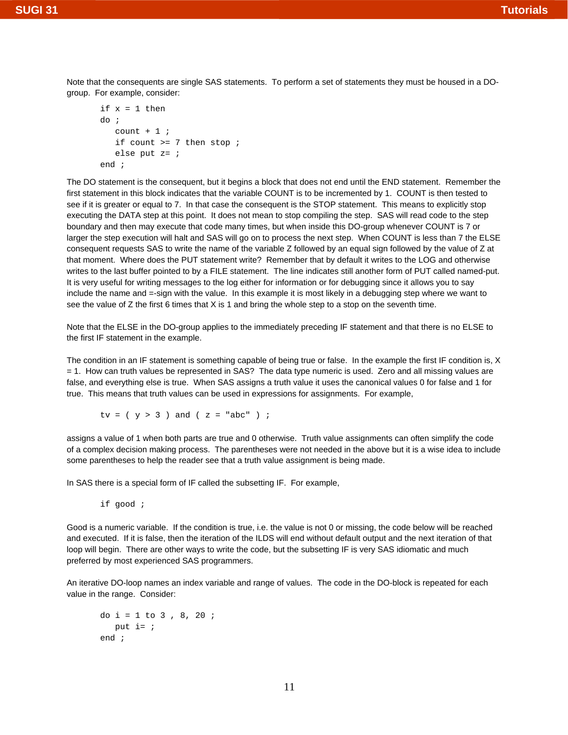Note that the consequents are single SAS statements. To perform a set of statements they must be housed in a DOgroup. For example, consider:

```
if x = 1 then
do ;
   count +1;
   if count >= 7 then stop ;
    else put z= ;
end ;
```
The DO statement is the consequent, but it begins a block that does not end until the END statement. Remember the first statement in this block indicates that the variable COUNT is to be incremented by 1. COUNT is then tested to see if it is greater or equal to 7. In that case the consequent is the STOP statement. This means to explicitly stop executing the DATA step at this point. It does not mean to stop compiling the step. SAS will read code to the step boundary and then may execute that code many times, but when inside this DO-group whenever COUNT is 7 or larger the step execution will halt and SAS will go on to process the next step. When COUNT is less than 7 the ELSE consequent requests SAS to write the name of the variable Z followed by an equal sign followed by the value of Z at that moment. Where does the PUT statement write? Remember that by default it writes to the LOG and otherwise writes to the last buffer pointed to by a FILE statement. The line indicates still another form of PUT called named-put. It is very useful for writing messages to the log either for information or for debugging since it allows you to say include the name and =-sign with the value. In this example it is most likely in a debugging step where we want to see the value of Z the first 6 times that X is 1 and bring the whole step to a stop on the seventh time.

Note that the ELSE in the DO-group applies to the immediately preceding IF statement and that there is no ELSE to the first IF statement in the example.

The condition in an IF statement is something capable of being true or false. In the example the first IF condition is, X = 1. How can truth values be represented in SAS? The data type numeric is used. Zero and all missing values are false, and everything else is true. When SAS assigns a truth value it uses the canonical values 0 for false and 1 for true. This means that truth values can be used in expressions for assignments. For example,

 $tv = (y > 3)$  and  $(z = "abc")$  ;

assigns a value of 1 when both parts are true and 0 otherwise. Truth value assignments can often simplify the code of a complex decision making process. The parentheses were not needed in the above but it is a wise idea to include some parentheses to help the reader see that a truth value assignment is being made.

In SAS there is a special form of IF called the subsetting IF. For example,

if good ;

Good is a numeric variable. If the condition is true, i.e. the value is not 0 or missing, the code below will be reached and executed. If it is false, then the iteration of the ILDS will end without default output and the next iteration of that loop will begin. There are other ways to write the code, but the subsetting IF is very SAS idiomatic and much preferred by most experienced SAS programmers.

An iterative DO-loop names an index variable and range of values. The code in the DO-block is repeated for each value in the range. Consider:

```
do i = 1 to 3 , 8, 20 ;
  put i = jend ;
```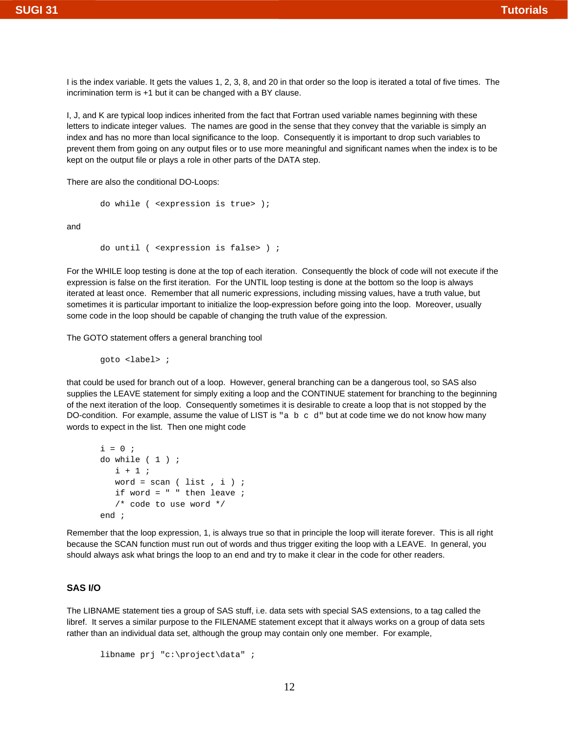I is the index variable. It gets the values 1, 2, 3, 8, and 20 in that order so the loop is iterated a total of five times. The incrimination term is +1 but it can be changed with a BY clause.

I, J, and K are typical loop indices inherited from the fact that Fortran used variable names beginning with these letters to indicate integer values. The names are good in the sense that they convey that the variable is simply an index and has no more than local significance to the loop. Consequently it is important to drop such variables to prevent them from going on any output files or to use more meaningful and significant names when the index is to be kept on the output file or plays a role in other parts of the DATA step.

There are also the conditional DO-Loops:

```
do while ( <expression is true> );
```
and

```
do until ( <expression is false> ) ;
```
For the WHILE loop testing is done at the top of each iteration. Consequently the block of code will not execute if the expression is false on the first iteration. For the UNTIL loop testing is done at the bottom so the loop is always iterated at least once. Remember that all numeric expressions, including missing values, have a truth value, but sometimes it is particular important to initialize the loop-expression before going into the loop. Moreover, usually some code in the loop should be capable of changing the truth value of the expression.

The GOTO statement offers a general branching tool

goto <label> ;

that could be used for branch out of a loop. However, general branching can be a dangerous tool, so SAS also supplies the LEAVE statement for simply exiting a loop and the CONTINUE statement for branching to the beginning of the next iteration of the loop. Consequently sometimes it is desirable to create a loop that is not stopped by the DO-condition. For example, assume the value of LIST is  $"a \ b \ c \ d"$  but at code time we do not know how many words to expect in the list. Then one might code

```
i = 0;do while ( 1 ) ;
  i + 1;
  word = scan ( list, i );
  if word = " " then leave ;
    /* code to use word */ 
end ;
```
Remember that the loop expression, 1, is always true so that in principle the loop will iterate forever. This is all right because the SCAN function must run out of words and thus trigger exiting the loop with a LEAVE. In general, you should always ask what brings the loop to an end and try to make it clear in the code for other readers.

# **SAS I/O**

The LIBNAME statement ties a group of SAS stuff, i.e. data sets with special SAS extensions, to a tag called the libref. It serves a similar purpose to the FILENAME statement except that it always works on a group of data sets rather than an individual data set, although the group may contain only one member. For example,

```
libname prj "c:\project\data" ;
```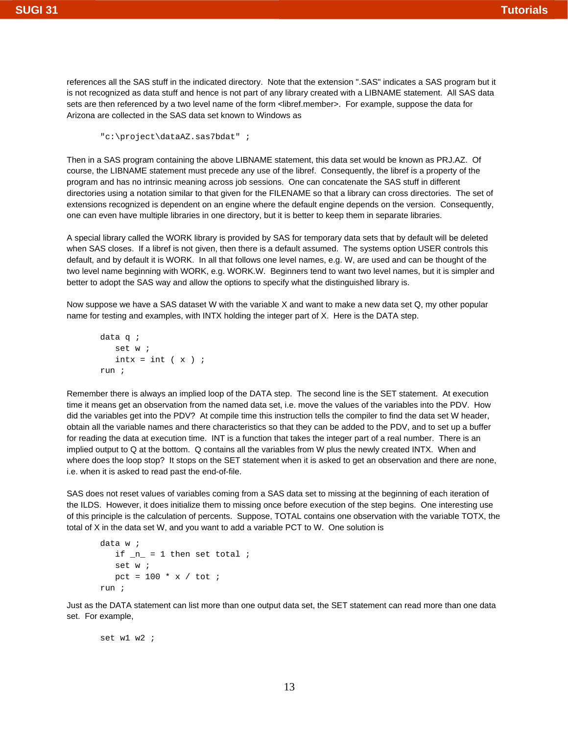references all the SAS stuff in the indicated directory. Note that the extension ".SAS" indicates a SAS program but it is not recognized as data stuff and hence is not part of any library created with a LIBNAME statement. All SAS data sets are then referenced by a two level name of the form <libref.member>. For example, suppose the data for Arizona are collected in the SAS data set known to Windows as

"c:\project\dataAZ.sas7bdat" ;

Then in a SAS program containing the above LIBNAME statement, this data set would be known as PRJ.AZ. Of course, the LIBNAME statement must precede any use of the libref. Consequently, the libref is a property of the program and has no intrinsic meaning across job sessions. One can concatenate the SAS stuff in different directories using a notation similar to that given for the FILENAME so that a library can cross directories. The set of extensions recognized is dependent on an engine where the default engine depends on the version. Consequently, one can even have multiple libraries in one directory, but it is better to keep them in separate libraries.

A special library called the WORK library is provided by SAS for temporary data sets that by default will be deleted when SAS closes. If a libref is not given, then there is a default assumed. The systems option USER controls this default, and by default it is WORK. In all that follows one level names, e.g. W, are used and can be thought of the two level name beginning with WORK, e.g. WORK.W. Beginners tend to want two level names, but it is simpler and better to adopt the SAS way and allow the options to specify what the distinguished library is.

Now suppose we have a SAS dataset W with the variable X and want to make a new data set Q, my other popular name for testing and examples, with INTX holding the integer part of X. Here is the DATA step.

```
data q ;
     set w ;
    \text{int} \times = \text{int} (\times);
run ;
```
Remember there is always an implied loop of the DATA step. The second line is the SET statement. At execution time it means get an observation from the named data set, i.e. move the values of the variables into the PDV. How did the variables get into the PDV? At compile time this instruction tells the compiler to find the data set W header, obtain all the variable names and there characteristics so that they can be added to the PDV, and to set up a buffer for reading the data at execution time. INT is a function that takes the integer part of a real number. There is an implied output to Q at the bottom. Q contains all the variables from W plus the newly created INTX. When and where does the loop stop? It stops on the SET statement when it is asked to get an observation and there are none, i.e. when it is asked to read past the end-of-file.

SAS does not reset values of variables coming from a SAS data set to missing at the beginning of each iteration of the ILDS. However, it does initialize them to missing once before execution of the step begins. One interesting use of this principle is the calculation of percents. Suppose, TOTAL contains one observation with the variable TOTX, the total of X in the data set W, and you want to add a variable PCT to W. One solution is

```
data w ;
   if _n = 1 then set total ;
    set w ;
   pct = 100 * x / \text{tot};
run ;
```
Just as the DATA statement can list more than one output data set, the SET statement can read more than one data set. For example,

set w1 w2 ;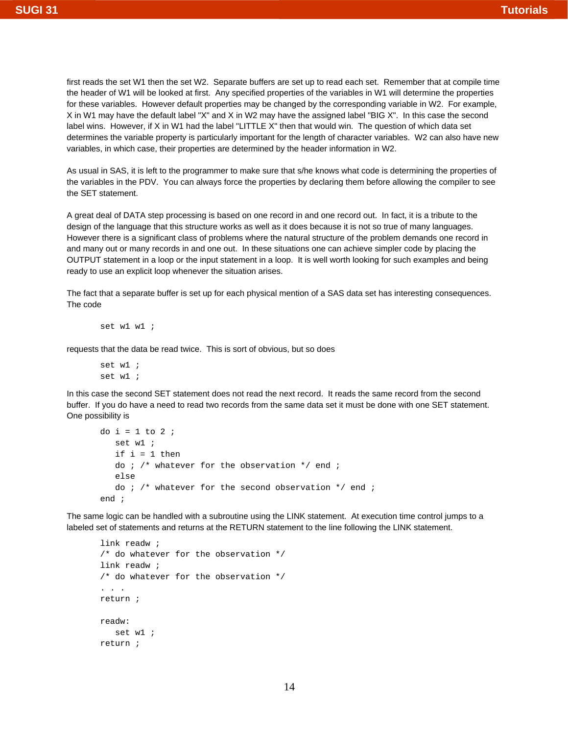first reads the set W1 then the set W2. Separate buffers are set up to read each set. Remember that at compile time the header of W1 will be looked at first. Any specified properties of the variables in W1 will determine the properties for these variables. However default properties may be changed by the corresponding variable in W2. For example, X in W1 may have the default label "X" and X in W2 may have the assigned label "BIG X". In this case the second label wins. However, if X in W1 had the label "LITTLE X" then that would win. The question of which data set determines the variable property is particularly important for the length of character variables. W2 can also have new variables, in which case, their properties are determined by the header information in W2.

As usual in SAS, it is left to the programmer to make sure that s/he knows what code is determining the properties of the variables in the PDV. You can always force the properties by declaring them before allowing the compiler to see the SET statement.

A great deal of DATA step processing is based on one record in and one record out. In fact, it is a tribute to the design of the language that this structure works as well as it does because it is not so true of many languages. However there is a significant class of problems where the natural structure of the problem demands one record in and many out or many records in and one out. In these situations one can achieve simpler code by placing the OUTPUT statement in a loop or the input statement in a loop. It is well worth looking for such examples and being ready to use an explicit loop whenever the situation arises.

The fact that a separate buffer is set up for each physical mention of a SAS data set has interesting consequences. The code

```
set w1 w1 ;
```
requests that the data be read twice. This is sort of obvious, but so does

set w1 ; set w1 ;

In this case the second SET statement does not read the next record. It reads the same record from the second buffer. If you do have a need to read two records from the same data set it must be done with one SET statement. One possibility is

```
do i = 1 to 2;
   set w1 ;
  if i = 1 then
  do i /* whatever for the observation */ end i else
   do i /* whatever for the second observation */ end iend ;
```
The same logic can be handled with a subroutine using the LINK statement. At execution time control jumps to a labeled set of statements and returns at the RETURN statement to the line following the LINK statement.

```
link readw ;
/* do whatever for the observation */
link readw ;
/* do whatever for the observation */
. . .
return ;
readw:
    set w1 ;
return ;
```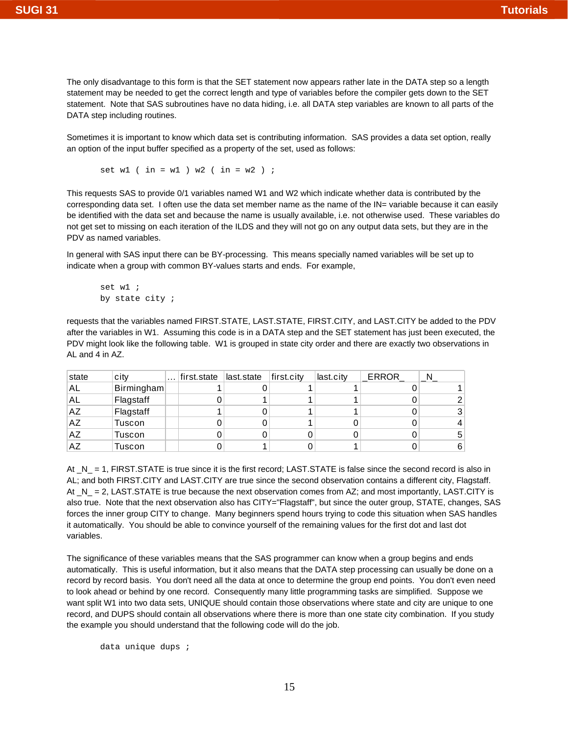The only disadvantage to this form is that the SET statement now appears rather late in the DATA step so a length statement may be needed to get the correct length and type of variables before the compiler gets down to the SET statement. Note that SAS subroutines have no data hiding, i.e. all DATA step variables are known to all parts of the DATA step including routines.

Sometimes it is important to know which data set is contributing information. SAS provides a data set option, really an option of the input buffer specified as a property of the set, used as follows:

set w1 ( in = w1 ) w2 ( in = w2 ) ;

This requests SAS to provide 0/1 variables named W1 and W2 which indicate whether data is contributed by the corresponding data set. I often use the data set member name as the name of the IN= variable because it can easily be identified with the data set and because the name is usually available, i.e. not otherwise used. These variables do not get set to missing on each iteration of the ILDS and they will not go on any output data sets, but they are in the PDV as named variables.

In general with SAS input there can be BY-processing. This means specially named variables will be set up to indicate when a group with common BY-values starts and ends. For example,

```
set w1 ;
by state city ;
```
requests that the variables named FIRST.STATE, LAST.STATE, FIRST.CITY, and LAST.CITY be added to the PDV after the variables in W1. Assuming this code is in a DATA step and the SET statement has just been executed, the PDV might look like the following table. W1 is grouped in state city order and there are exactly two observations in AL and 4 in AZ.

| state     | city       | $\cdots$ | first.state last.state | first.city | last.city | ERROR |    |
|-----------|------------|----------|------------------------|------------|-----------|-------|----|
| AL        | Birmingham |          |                        |            |           |       |    |
| AL.       | Flagstaff  |          |                        |            |           |       |    |
| <b>AZ</b> | Flagstaff  |          |                        |            |           |       | 31 |
| AZ        | Tuscon     |          |                        |            |           |       |    |
| <b>AZ</b> | Tuscon     |          |                        |            |           |       | 51 |
| AZ        | Tuscon     |          |                        |            |           |       | 6  |

At \_N\_ = 1, FIRST.STATE is true since it is the first record; LAST.STATE is false since the second record is also in AL; and both FIRST.CITY and LAST.CITY are true since the second observation contains a different city, Flagstaff. At  $N = 2$ , LAST.STATE is true because the next observation comes from AZ; and most importantly, LAST.CITY is also true. Note that the next observation also has CITY="Flagstaff", but since the outer group, STATE, changes, SAS forces the inner group CITY to change. Many beginners spend hours trying to code this situation when SAS handles it automatically. You should be able to convince yourself of the remaining values for the first dot and last dot variables.

The significance of these variables means that the SAS programmer can know when a group begins and ends automatically. This is useful information, but it also means that the DATA step processing can usually be done on a record by record basis. You don't need all the data at once to determine the group end points. You don't even need to look ahead or behind by one record. Consequently many little programming tasks are simplified. Suppose we want split W1 into two data sets, UNIQUE should contain those observations where state and city are unique to one record, and DUPS should contain all observations where there is more than one state city combination. If you study the example you should understand that the following code will do the job.

data unique dups ;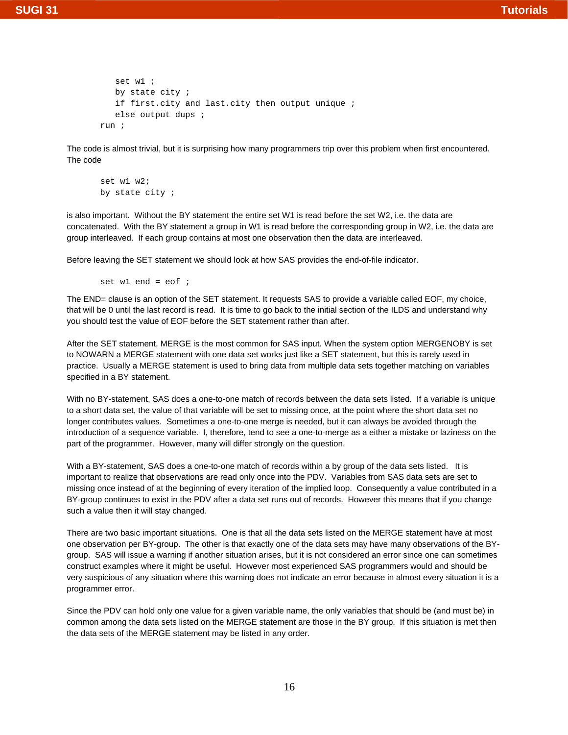```
 set w1 ;
    by state city ;
    if first.city and last.city then output unique ;
    else output dups ;
run ;
```
The code is almost trivial, but it is surprising how many programmers trip over this problem when first encountered. The code

```
set w1 w2;
by state city ;
```
is also important. Without the BY statement the entire set W1 is read before the set W2, i.e. the data are concatenated. With the BY statement a group in W1 is read before the corresponding group in W2, i.e. the data are group interleaved. If each group contains at most one observation then the data are interleaved.

Before leaving the SET statement we should look at how SAS provides the end-of-file indicator.

set w1 end =  $e$ of ;

The END= clause is an option of the SET statement. It requests SAS to provide a variable called EOF, my choice, that will be 0 until the last record is read. It is time to go back to the initial section of the ILDS and understand why you should test the value of EOF before the SET statement rather than after.

After the SET statement, MERGE is the most common for SAS input. When the system option MERGENOBY is set to NOWARN a MERGE statement with one data set works just like a SET statement, but this is rarely used in practice. Usually a MERGE statement is used to bring data from multiple data sets together matching on variables specified in a BY statement.

With no BY-statement, SAS does a one-to-one match of records between the data sets listed. If a variable is unique to a short data set, the value of that variable will be set to missing once, at the point where the short data set no longer contributes values. Sometimes a one-to-one merge is needed, but it can always be avoided through the introduction of a sequence variable. I, therefore, tend to see a one-to-merge as a either a mistake or laziness on the part of the programmer. However, many will differ strongly on the question.

With a BY-statement, SAS does a one-to-one match of records within a by group of the data sets listed. It is important to realize that observations are read only once into the PDV. Variables from SAS data sets are set to missing once instead of at the beginning of every iteration of the implied loop. Consequently a value contributed in a BY-group continues to exist in the PDV after a data set runs out of records. However this means that if you change such a value then it will stay changed.

There are two basic important situations. One is that all the data sets listed on the MERGE statement have at most one observation per BY-group. The other is that exactly one of the data sets may have many observations of the BYgroup. SAS will issue a warning if another situation arises, but it is not considered an error since one can sometimes construct examples where it might be useful. However most experienced SAS programmers would and should be very suspicious of any situation where this warning does not indicate an error because in almost every situation it is a programmer error.

Since the PDV can hold only one value for a given variable name, the only variables that should be (and must be) in common among the data sets listed on the MERGE statement are those in the BY group. If this situation is met then the data sets of the MERGE statement may be listed in any order.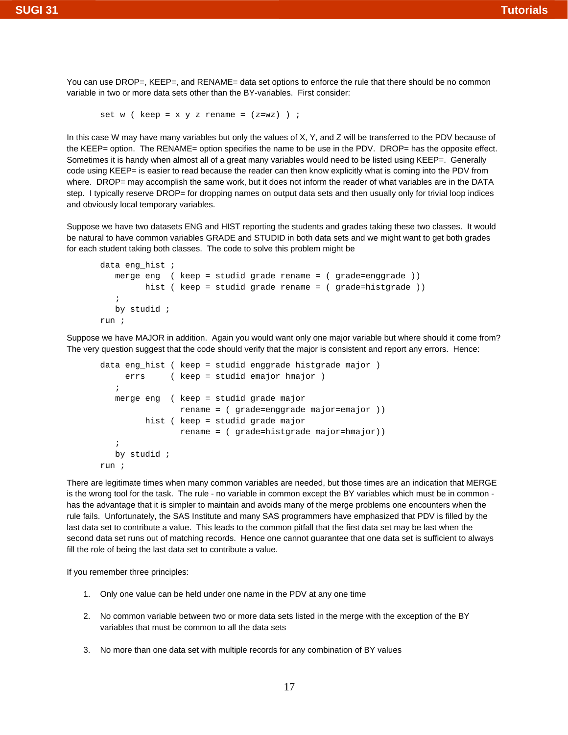You can use DROP=, KEEP=, and RENAME= data set options to enforce the rule that there should be no common variable in two or more data sets other than the BY-variables. First consider:

```
set w ( keep = x y z rename = (z=we) ) ;
```
In this case W may have many variables but only the values of X, Y, and Z will be transferred to the PDV because of the KEEP= option. The RENAME= option specifies the name to be use in the PDV. DROP= has the opposite effect. Sometimes it is handy when almost all of a great many variables would need to be listed using KEEP=. Generally code using KEEP= is easier to read because the reader can then know explicitly what is coming into the PDV from where. DROP= may accomplish the same work, but it does not inform the reader of what variables are in the DATA step. I typically reserve DROP= for dropping names on output data sets and then usually only for trivial loop indices and obviously local temporary variables.

Suppose we have two datasets ENG and HIST reporting the students and grades taking these two classes. It would be natural to have common variables GRADE and STUDID in both data sets and we might want to get both grades for each student taking both classes. The code to solve this problem might be

```
data eng hist i merge eng ( keep = studid grade rename = ( grade=enggrade ))
          hist ( keep = studid grade rename = ( grade=histgrade ))
\mathcal{L} by studid ;
run ;
```
Suppose we have MAJOR in addition. Again you would want only one major variable but where should it come from? The very question suggest that the code should verify that the major is consistent and report any errors. Hence:

```
data eng_hist ( keep = studid enggrade histgrade major )
      errs ( keep = studid emajor hmajor ) 
\mathcal{L} merge eng ( keep = studid grade major
                 rename = ( grade=enggrade major=emajor ))
          hist ( keep = studid grade major
                 rename = ( grade=histgrade major=hmajor))
    ;
    by studid ;
run ;
```
There are legitimate times when many common variables are needed, but those times are an indication that MERGE is the wrong tool for the task. The rule - no variable in common except the BY variables which must be in common has the advantage that it is simpler to maintain and avoids many of the merge problems one encounters when the rule fails. Unfortunately, the SAS Institute and many SAS programmers have emphasized that PDV is filled by the last data set to contribute a value. This leads to the common pitfall that the first data set may be last when the second data set runs out of matching records. Hence one cannot guarantee that one data set is sufficient to always fill the role of being the last data set to contribute a value.

If you remember three principles:

- 1. Only one value can be held under one name in the PDV at any one time
- 2. No common variable between two or more data sets listed in the merge with the exception of the BY variables that must be common to all the data sets
- 3. No more than one data set with multiple records for any combination of BY values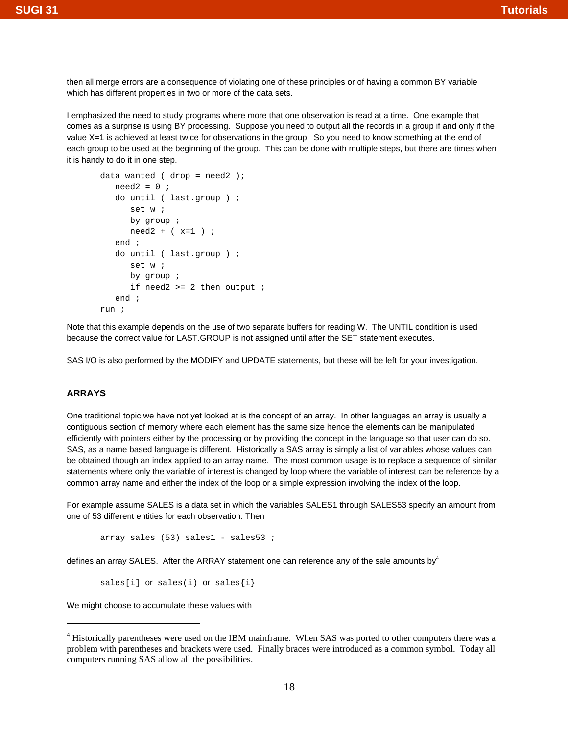then all merge errors are a consequence of violating one of these principles or of having a common BY variable which has different properties in two or more of the data sets.

I emphasized the need to study programs where more that one observation is read at a time. One example that comes as a surprise is using BY processing. Suppose you need to output all the records in a group if and only if the value X=1 is achieved at least twice for observations in the group. So you need to know something at the end of each group to be used at the beginning of the group. This can be done with multiple steps, but there are times when it is handy to do it in one step.

```
data wanted (drop = need2);
  need2 = 0 ;
    do until ( last.group ) ;
       set w ;
       by group ; 
     need2 + (x=1);
    end ;
    do until ( last.group ) ;
       set w ;
       by group ;
      if need2 >= 2 then output i end ;
run ;
```
Note that this example depends on the use of two separate buffers for reading W. The UNTIL condition is used because the correct value for LAST.GROUP is not assigned until after the SET statement executes.

SAS I/O is also performed by the MODIFY and UPDATE statements, but these will be left for your investigation.

#### **ARRAYS**

One traditional topic we have not yet looked at is the concept of an array. In other languages an array is usually a contiguous section of memory where each element has the same size hence the elements can be manipulated efficiently with pointers either by the processing or by providing the concept in the language so that user can do so. SAS, as a name based language is different. Historically a SAS array is simply a list of variables whose values can be obtained though an index applied to an array name. The most common usage is to replace a sequence of similar statements where only the variable of interest is changed by loop where the variable of interest can be reference by a common array name and either the index of the loop or a simple expression involving the index of the loop.

For example assume SALES is a data set in which the variables SALES1 through SALES53 specify an amount from one of 53 different entities for each observation. Then

```
array sales (53) sales1 - sales53 ;
```
defines an array SALES. After the ARRAY statement one can reference any of the sale amounts by  $4$ 

sales[i]  $or$  sales(i)  $or$  sales{i}

We might choose to accumulate these values with

<sup>&</sup>lt;sup>4</sup> Historically parentheses were used on the IBM mainframe. When SAS was ported to other computers there was a problem with parentheses and brackets were used. Finally braces were introduced as a common symbol. Today all computers running SAS allow all the possibilities.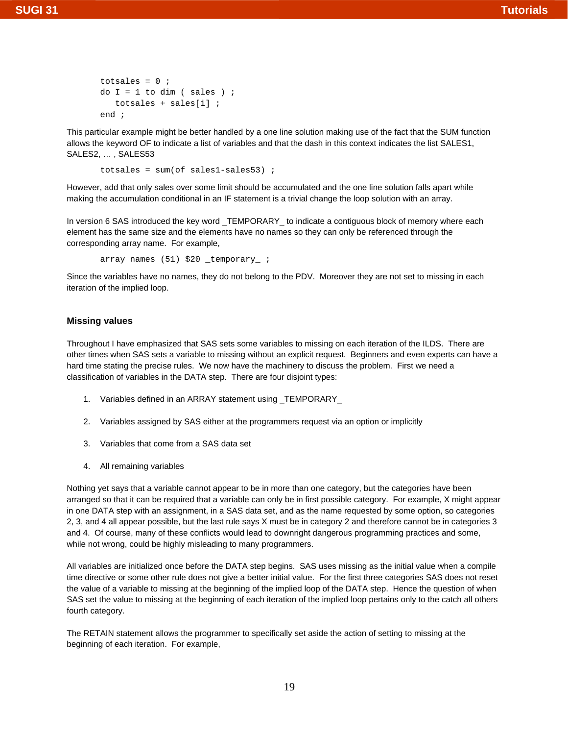totsales =  $0$  ; do  $I = 1$  to dim ( sales ) ; totsales + sales[i] ; end ;

This particular example might be better handled by a one line solution making use of the fact that the SUM function allows the keyword OF to indicate a list of variables and that the dash in this context indicates the list SALES1, SALES2, … , SALES53

totsales =  $sum($ of sales1-sales53) ;

However, add that only sales over some limit should be accumulated and the one line solution falls apart while making the accumulation conditional in an IF statement is a trivial change the loop solution with an array.

In version 6 SAS introduced the key word\_TEMPORARY\_ to indicate a contiguous block of memory where each element has the same size and the elements have no names so they can only be referenced through the corresponding array name. For example,

array names (51) \$20 \_temporary\_ ;

Since the variables have no names, they do not belong to the PDV. Moreover they are not set to missing in each iteration of the implied loop.

#### **Missing values**

Throughout I have emphasized that SAS sets some variables to missing on each iteration of the ILDS. There are other times when SAS sets a variable to missing without an explicit request. Beginners and even experts can have a hard time stating the precise rules. We now have the machinery to discuss the problem. First we need a classification of variables in the DATA step. There are four disjoint types:

- 1. Variables defined in an ARRAY statement using \_TEMPORARY\_
- 2. Variables assigned by SAS either at the programmers request via an option or implicitly
- 3. Variables that come from a SAS data set
- 4. All remaining variables

Nothing yet says that a variable cannot appear to be in more than one category, but the categories have been arranged so that it can be required that a variable can only be in first possible category. For example, X might appear in one DATA step with an assignment, in a SAS data set, and as the name requested by some option, so categories 2, 3, and 4 all appear possible, but the last rule says X must be in category 2 and therefore cannot be in categories 3 and 4. Of course, many of these conflicts would lead to downright dangerous programming practices and some, while not wrong, could be highly misleading to many programmers.

All variables are initialized once before the DATA step begins. SAS uses missing as the initial value when a compile time directive or some other rule does not give a better initial value. For the first three categories SAS does not reset the value of a variable to missing at the beginning of the implied loop of the DATA step. Hence the question of when SAS set the value to missing at the beginning of each iteration of the implied loop pertains only to the catch all others fourth category.

The RETAIN statement allows the programmer to specifically set aside the action of setting to missing at the beginning of each iteration. For example,